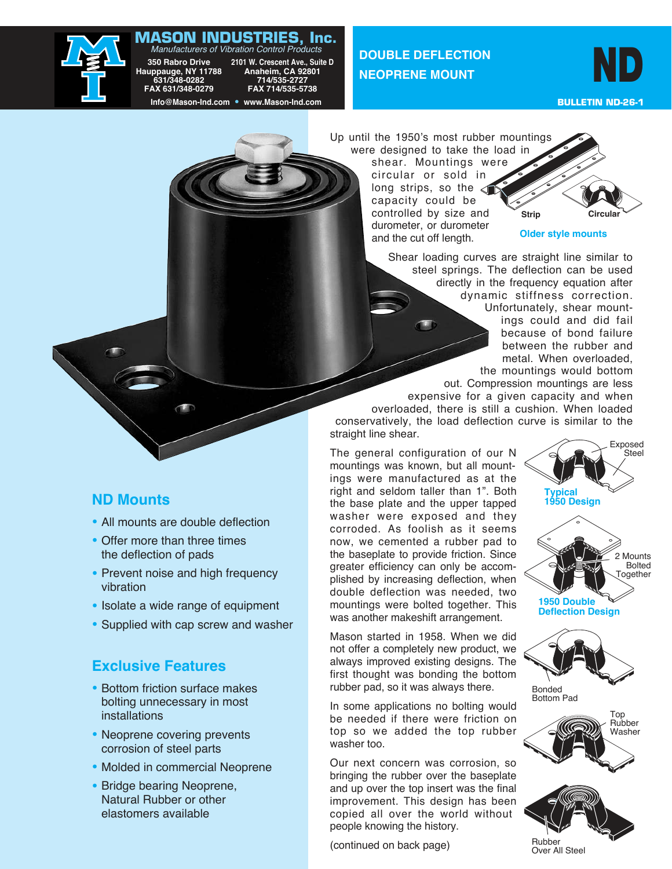# **MASON INDUSTRIES, Inc.** Manufacturers of Vibration Control Products



350 Rabro Drive 2101 W. Crescent Ave., Suite D<br>**uppauge, NY 11788 Anaheim, CA 92801**<br>631/348-0282 714/535-2727<br>FAX 631/348-0279 FAX 714/535-5738  **Hauppauge, NY 11788 Anaheim, CA 92801 631/348-0282 714/535-2727 FAX 631/348-0279 FAX 714/535-5738 Info@Mason-Ind.com • www.Mason-Ind.com**

**DOUBLE DEFLECTION NEOPRENE MOUNT**

ND

 **BULLETIN ND-26-1**

Up until the 1950's most rubber mountings were designed to take the load in shear. Mountings were circular or sold in long strips, so the  $\leq$ capacity could be controlled by size and durometer, or durometer and the cut off length. **Strip Circular Older style mounts**



expensive for a given capacity and when overloaded, there is still a cushion. When loaded conservatively, the load deflection curve is similar to the straight line shear.

The general configuration of our N mountings was known, but all mountings were manufactured as at the right and seldom taller than 1". Both the base plate and the upper tapped washer were exposed and they corroded. As foolish as it seems now, we cemented a rubber pad to the baseplate to provide friction. Since greater efficiency can only be accomplished by increasing deflection, when double deflection was needed, two mountings were bolted together. This was another makeshift arrangement.

Mason started in 1958. When we did not offer a completely new product, we always improved existing designs. The first thought was bonding the bottom rubber pad, so it was always there.

In some applications no bolting would be needed if there were friction on top so we added the top rubber washer too.

Our next concern was corrosion, so bringing the rubber over the baseplate and up over the top insert was the final improvement. This design has been copied all over the world without people knowing the history.

(continued on back page)





**Deflection Design**







Over All Steel

## **ND Mounts**

- All mounts are double deflection
- Offer more than three times the deflection of pads
- Prevent noise and high frequency vibration
- Isolate a wide range of equipment
- Supplied with cap screw and washer

## **Exclusive Features**

- Bottom friction surface makes bolting unnecessary in most installations
- Neoprene covering prevents corrosion of steel parts
- Molded in commercial Neoprene
- Bridge bearing Neoprene, Natural Rubber or other elastomers available